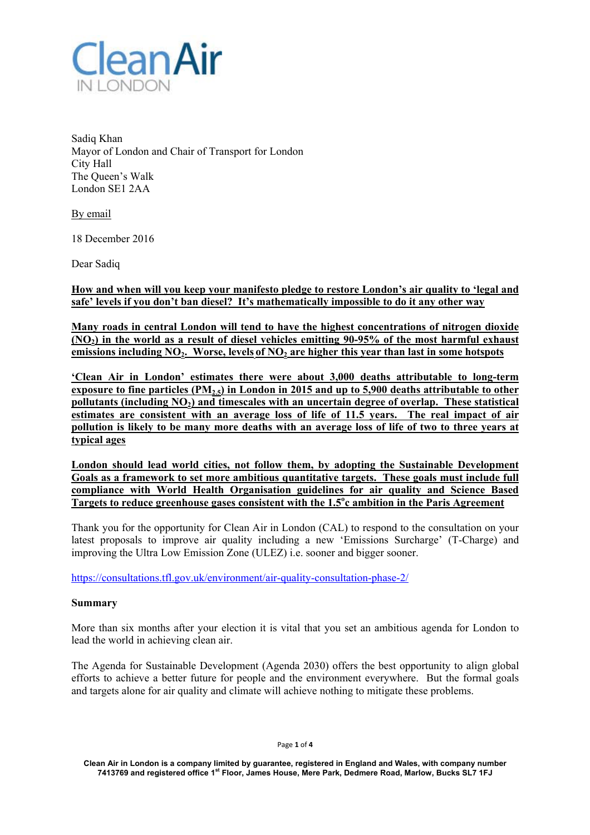

Sadiq Khan Mayor of London and Chair of Transport for London City Hall The Queen's Walk London SE1 2AA

By email

18 December 2016

Dear Sadiq

**How and when will you keep your manifesto pledge to restore London's air quality to 'legal and safe' levels if you don't ban diesel? It's mathematically impossible to do it any other way** 

**Many roads in central London will tend to have the highest concentrations of nitrogen dioxide (NO2) in the world as a result of diesel vehicles emitting 90-95% of the most harmful exhaust**  emissions including NO<sub>2</sub>. Worse, levels of NO<sub>2</sub> are higher this year than last in some hotspots

**'Clean Air in London' estimates there were about 3,000 deaths attributable to long-term exposure to fine particles (PM2.5) in London in 2015 and up to 5,900 deaths attributable to other**  pollutants (including NO<sub>2</sub>) and timescales with an uncertain degree of overlap. These statistical **estimates are consistent with an average loss of life of 11.5 years. The real impact of air pollution is likely to be many more deaths with an average loss of life of two to three years at typical ages** 

**London should lead world cities, not follow them, by adopting the Sustainable Development Goals as a framework to set more ambitious quantitative targets. These goals must include full compliance with World Health Organisation guidelines for air quality and Science Based Targets to reduce greenhouse gases consistent with the 1.5<sup>o</sup> c ambition in the Paris Agreement** 

Thank you for the opportunity for Clean Air in London (CAL) to respond to the consultation on your latest proposals to improve air quality including a new 'Emissions Surcharge' (T-Charge) and improving the Ultra Low Emission Zone (ULEZ) i.e. sooner and bigger sooner.

https://consultations.tfl.gov.uk/environment/air-quality-consultation-phase-2/

### **Summary**

More than six months after your election it is vital that you set an ambitious agenda for London to lead the world in achieving clean air.

The Agenda for Sustainable Development (Agenda 2030) offers the best opportunity to align global efforts to achieve a better future for people and the environment everywhere. But the formal goals and targets alone for air quality and climate will achieve nothing to mitigate these problems.

Page **1** of **4**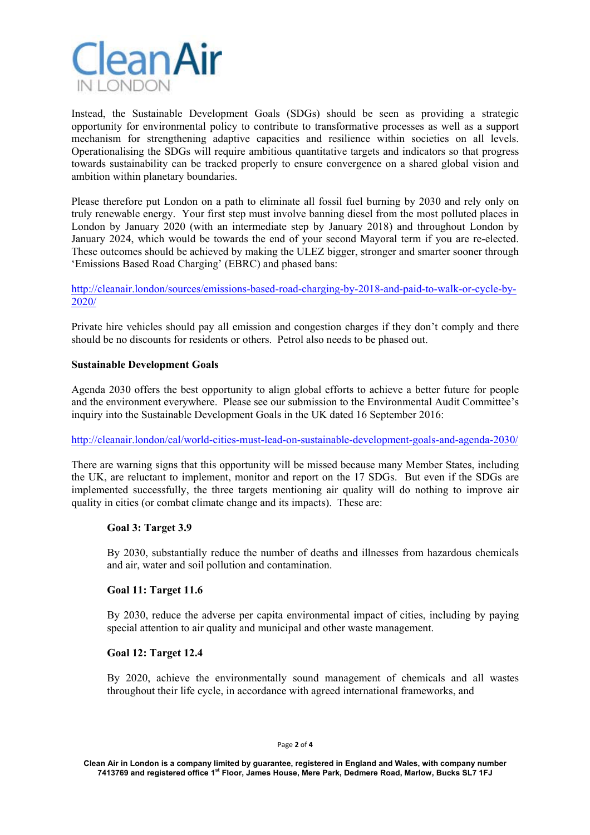

Instead, the Sustainable Development Goals (SDGs) should be seen as providing a strategic opportunity for environmental policy to contribute to transformative processes as well as a support mechanism for strengthening adaptive capacities and resilience within societies on all levels. Operationalising the SDGs will require ambitious quantitative targets and indicators so that progress towards sustainability can be tracked properly to ensure convergence on a shared global vision and ambition within planetary boundaries.

Please therefore put London on a path to eliminate all fossil fuel burning by 2030 and rely only on truly renewable energy. Your first step must involve banning diesel from the most polluted places in London by January 2020 (with an intermediate step by January 2018) and throughout London by January 2024, which would be towards the end of your second Mayoral term if you are re-elected. These outcomes should be achieved by making the ULEZ bigger, stronger and smarter sooner through 'Emissions Based Road Charging' (EBRC) and phased bans:

http://cleanair.london/sources/emissions-based-road-charging-by-2018-and-paid-to-walk-or-cycle-by-2020/

Private hire vehicles should pay all emission and congestion charges if they don't comply and there should be no discounts for residents or others. Petrol also needs to be phased out.

## **Sustainable Development Goals**

Agenda 2030 offers the best opportunity to align global efforts to achieve a better future for people and the environment everywhere. Please see our submission to the Environmental Audit Committee's inquiry into the Sustainable Development Goals in the UK dated 16 September 2016:

http://cleanair.london/cal/world-cities-must-lead-on-sustainable-development-goals-and-agenda-2030/

There are warning signs that this opportunity will be missed because many Member States, including the UK, are reluctant to implement, monitor and report on the 17 SDGs. But even if the SDGs are implemented successfully, the three targets mentioning air quality will do nothing to improve air quality in cities (or combat climate change and its impacts). These are:

## **Goal 3: Target 3.9**

By 2030, substantially reduce the number of deaths and illnesses from hazardous chemicals and air, water and soil pollution and contamination.

# **Goal 11: Target 11.6**

By 2030, reduce the adverse per capita environmental impact of cities, including by paying special attention to air quality and municipal and other waste management.

### **Goal 12: Target 12.4**

By 2020, achieve the environmentally sound management of chemicals and all wastes throughout their life cycle, in accordance with agreed international frameworks, and

**Clean Air in London is a company limited by guarantee, registered in England and Wales, with company number 7413769 and registered office 1st Floor, James House, Mere Park, Dedmere Road, Marlow, Bucks SL7 1FJ**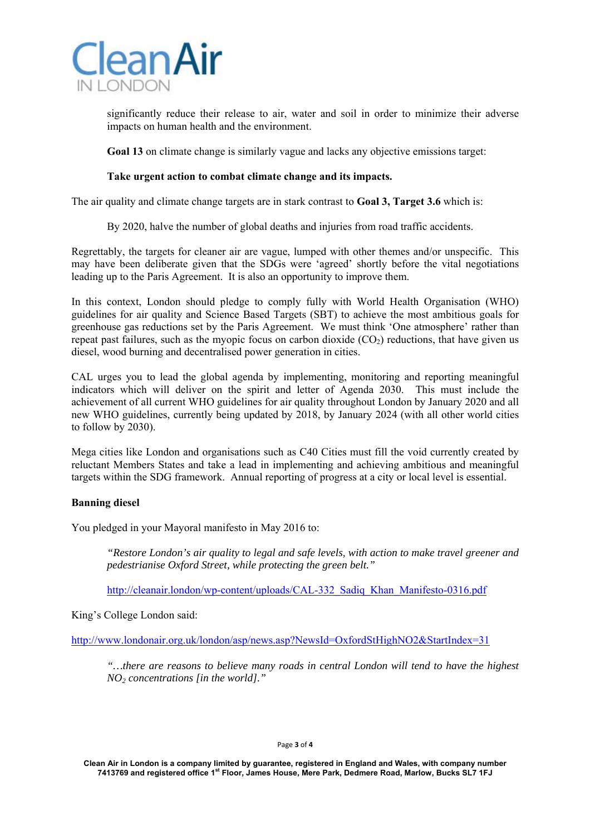

significantly reduce their release to air, water and soil in order to minimize their adverse impacts on human health and the environment.

**Goal 13** on climate change is similarly vague and lacks any objective emissions target:

## **Take urgent action to combat climate change and its impacts.**

The air quality and climate change targets are in stark contrast to **Goal 3, Target 3.6** which is:

By 2020, halve the number of global deaths and injuries from road traffic accidents.

Regrettably, the targets for cleaner air are vague, lumped with other themes and/or unspecific. This may have been deliberate given that the SDGs were 'agreed' shortly before the vital negotiations leading up to the Paris Agreement. It is also an opportunity to improve them.

In this context, London should pledge to comply fully with World Health Organisation (WHO) guidelines for air quality and Science Based Targets (SBT) to achieve the most ambitious goals for greenhouse gas reductions set by the Paris Agreement. We must think 'One atmosphere' rather than repeat past failures, such as the myopic focus on carbon dioxide  $(CO<sub>2</sub>)$  reductions, that have given us diesel, wood burning and decentralised power generation in cities.

CAL urges you to lead the global agenda by implementing, monitoring and reporting meaningful indicators which will deliver on the spirit and letter of Agenda 2030. This must include the achievement of all current WHO guidelines for air quality throughout London by January 2020 and all new WHO guidelines, currently being updated by 2018, by January 2024 (with all other world cities to follow by 2030).

Mega cities like London and organisations such as C40 Cities must fill the void currently created by reluctant Members States and take a lead in implementing and achieving ambitious and meaningful targets within the SDG framework. Annual reporting of progress at a city or local level is essential.

# **Banning diesel**

You pledged in your Mayoral manifesto in May 2016 to:

*"Restore London's air quality to legal and safe levels, with action to make travel greener and pedestrianise Oxford Street, while protecting the green belt."* 

http://cleanair.london/wp-content/uploads/CAL-332\_Sadiq\_Khan\_Manifesto-0316.pdf

King's College London said:

http://www.londonair.org.uk/london/asp/news.asp?NewsId=OxfordStHighNO2&StartIndex=31

*"…there are reasons to believe many roads in central London will tend to have the highest NO2 concentrations [in the world]."* 

#### Page **3** of **4**

**Clean Air in London is a company limited by guarantee, registered in England and Wales, with company number 7413769 and registered office 1st Floor, James House, Mere Park, Dedmere Road, Marlow, Bucks SL7 1FJ**